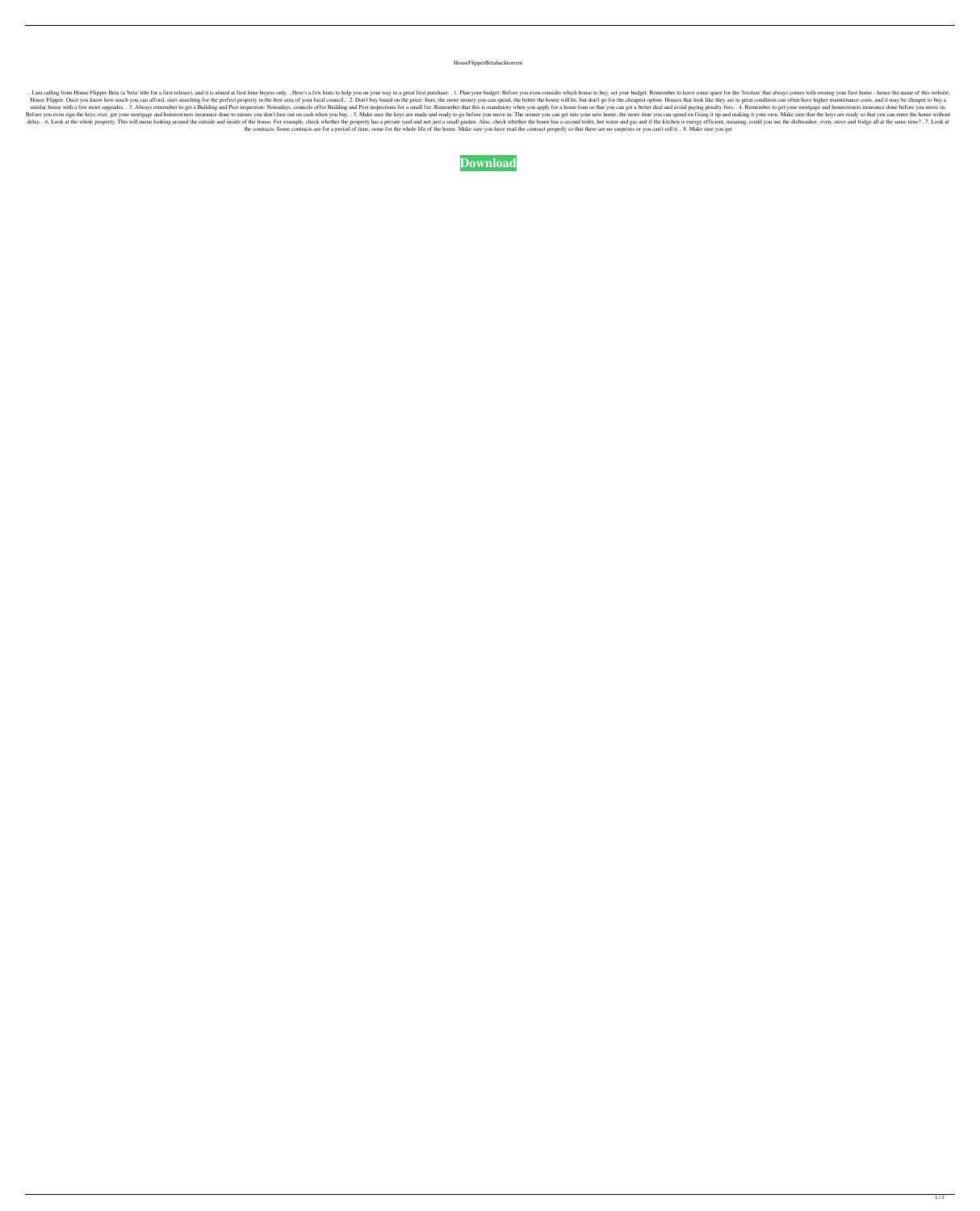HouseFlipperBetahacktorrent

. I am calling from House Flipper Beta (a 'beta' title for a first release), and it is aimed at first time buyers only. . Here's a few hints to help you on your way to a great first purchase: . 1. Plan your budget: Before House Flipper. Once you know how much you can afford, start searching for the perfect property in the best area of your local council. . 2. Don't buy based on the price: Sure, the more money you can spend, the better the h similar house with a few more upgrades. 3. Always remember to get a Building and Pest inspection: Nowadays, councils offer Building and Pest inspections for a small fee. Remember that this is mandatory when you apply for a Before you even sign the keys over, get your mortgage and homeowners insurance done to ensure you don't lose out on cash when you buy.. 5. Make sure the keys are made and ready to go before you move in: The sooner you can delay.. 6. Look at the whole property: This will mean looking around the outside and inside of the house. For example, check whether the property has a private yard and not just a small garden. Also, check whether the home the contracts: Some contracts are for a period of time, some for the whole life of the home. Make sure you have read the contract properly so that there are no surprises or you can't sell it. . 8. Make sure you get

**[Download](http://evacdir.com/ZG93bmxvYWR8U3EzTWpCdlpIeDhNVFkxTWpjME1EZzJObng4TWpVM05IeDhLRTBwSUhKbFlXUXRZbXh2WnlCYlJtRnpkQ0JIUlU1ZA/bureaus?perak.conveyor=SG91c2VGbGlwcGVyQmV0YWhhY2t0b3JyZW50SG9&naturopathics.neurologists=pest)**